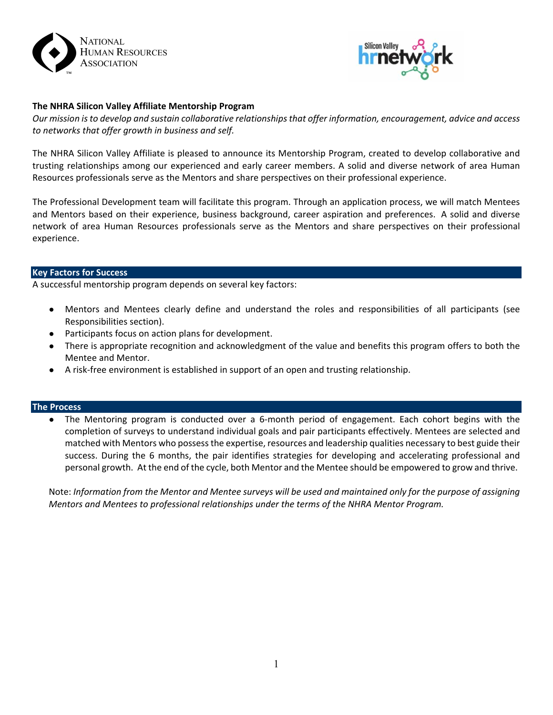



# **The NHRA Silicon Valley Affiliate Mentorship Program**

*Our mission is to develop and sustain collaborative relationships that offer information, encouragement, advice and access to networks that offer growth in business and self.*

The NHRA Silicon Valley Affiliate is pleased to announce its Mentorship Program, created to develop collaborative and trusting relationships among our experienced and early career members. A solid and diverse network of area Human Resources professionals serve as the Mentors and share perspectives on their professional experience.

The Professional Development team will facilitate this program. Through an application process, we will match Mentees and Mentors based on their experience, business background, career aspiration and preferences. A solid and diverse network of area Human Resources professionals serve as the Mentors and share perspectives on their professional experience.

## **Key Factors for Success**

A successful mentorship program depends on several key factors:

- Mentors and Mentees clearly define and understand the roles and responsibilities of all participants (see Responsibilities section).
- Participants focus on action plans for development.
- There is appropriate recognition and acknowledgment of the value and benefits this program offers to both the Mentee and Mentor.
- A risk‐free environment is established in support of an open and trusting relationship.

## **The Process**

● The Mentoring program is conducted over a 6‐month period of engagement. Each cohort begins with the completion of surveys to understand individual goals and pair participants effectively. Mentees are selected and matched with Mentors who possess the expertise, resources and leadership qualities necessary to best guide their success. During the 6 months, the pair identifies strategies for developing and accelerating professional and personal growth. At the end of the cycle, both Mentor and the Mentee should be empowered to grow and thrive.

Note: *Information from the Mentor and Mentee surveys will be used and maintained only for the purpose of assigning Mentors and Mentees to professional relationships under the terms of the NHRA Mentor Program.*